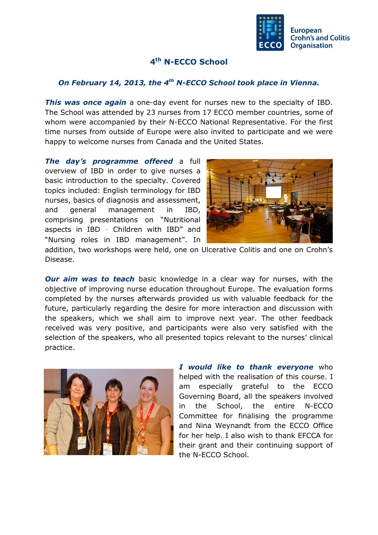

## **4 th N-ECCO School**

## *On February 14, 2013, the 4th N-ECCO School took place in Vienna.*

*This was once again* a one-day event for nurses new to the specialty of IBD. The School was attended by 23 nurses from 17 ECCO member countries, some of whom were accompanied by their N-ECCO National Representative. For the first time nurses from outside of Europe were also invited to participate and we were happy to welcome nurses from Canada and the United States.

*The day's programme offered* a full overview of IBD in order to give nurses a basic introduction to the specialty. Covered topics included: English terminology for IBD nurses, basics of diagnosis and assessment, and general management in IBD, comprising presentations on "Nutritional aspects in IBD – Children with IBD" and "Nursing roles in IBD management". In



addition, two workshops were held, one on Ulcerative Colitis and one on Crohn's Disease.

*Our aim was to teach* basic knowledge in a clear way for nurses, with the objective of improving nurse education throughout Europe. The evaluation forms completed by the nurses afterwards provided us with valuable feedback for the future, particularly regarding the desire for more interaction and discussion with the speakers, which we shall aim to improve next year. The other feedback received was very positive, and participants were also very satisfied with the selection of the speakers, who all presented topics relevant to the nurses' clinical practice.



*I would like to thank everyone* who helped with the realisation of this course. I am especially grateful to the ECCO Governing Board, all the speakers involved in the School, the entire N-ECCO Committee for finalising the programme and Nina Weynandt from the ECCO Office for her help. I also wish to thank EFCCA for their grant and their continuing support of the N-ECCO School.